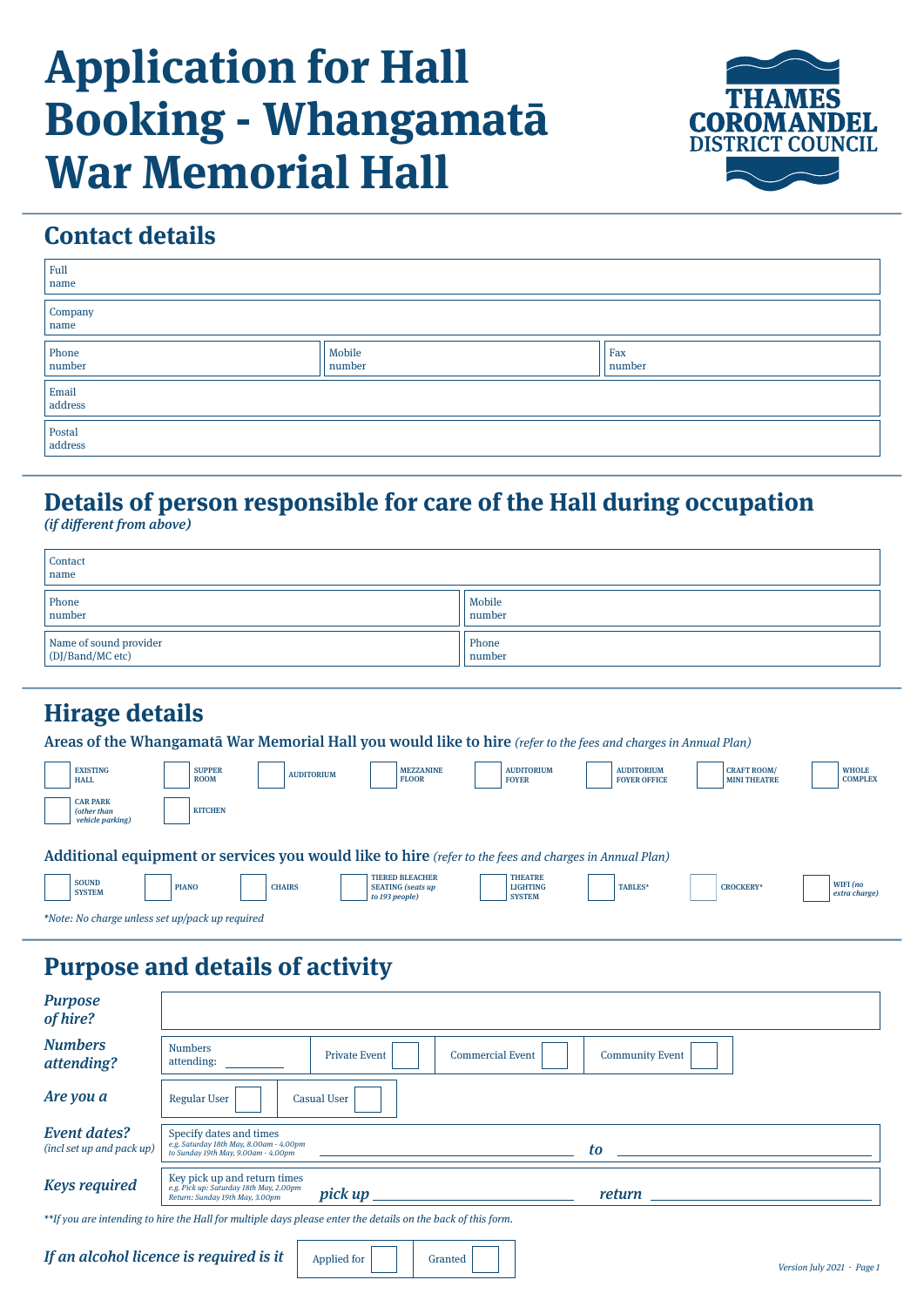# **Application for Hall Booking - Whangamatā War Memorial Hall**



# **Contact details**

| Full<br>name                                                 |                  |               |
|--------------------------------------------------------------|------------------|---------------|
| $\begin{array}{c} \text{Compary} \\ \text{name} \end{array}$ |                  |               |
| $\boxed{\frac{\text{Phone}}{\text{number}}}$                 | Mobile<br>number | Fax<br>number |
| $\begin{array}{c} \rm{Email} \\ \rm{address} \end{array}$    |                  |               |
| $\sim$<br>Postal<br>address                                  |                  |               |

# **Details of person responsible for care of the Hall during occupation**

(if different from above)

| Contact<br>name                            |                  |
|--------------------------------------------|------------------|
| Phone<br>number                            | Mobile<br>number |
| Name of sound provider<br>(DJ/Band/MC etc) | Phone<br>number  |

#### **Hirage details**

Areas of the Whangamatā War Memorial Hall you would like to hire (refer to the fees and charges in Annual Plan)

| <b>EXISTING</b><br><b>HALL</b>                     | <b>SUPPER</b><br><b>ROOM</b> | <b>AUDITORIUM</b> |                                            | <b>MEZZANINE</b><br><b>FLOOR</b> | <b>AUDITORIUM</b><br><b>FOYER</b>                                                                      | <b>AUDITORIUM</b><br><b>FOYER OFFICE</b> | <b>CRAFT ROOM/</b><br><b>MINI THEATRE</b> | <b>WHOLE</b><br><b>COMPLEX</b> |
|----------------------------------------------------|------------------------------|-------------------|--------------------------------------------|----------------------------------|--------------------------------------------------------------------------------------------------------|------------------------------------------|-------------------------------------------|--------------------------------|
| <b>CAR PARK</b><br>(other than<br>vehicle parking) | <b>KITCHEN</b>               |                   |                                            |                                  |                                                                                                        |                                          |                                           |                                |
|                                                    |                              |                   |                                            |                                  | Additional equipment or services you would like to hire (refer to the fees and charges in Annual Plan) |                                          |                                           |                                |
| <b>SOUND</b><br><b>SYSTEM</b>                      | <b>PIANO</b>                 | <b>CHAIRS</b>     | <b>SEATING</b> (seats up<br>to 193 people) | <b>TIERED BLEACHER</b>           | <b>THEATRE</b><br><b>LIGHTING</b><br><b>SYSTEM</b>                                                     | <b>TABLES*</b>                           | <b>CROCKERY*</b>                          | WIFI (no<br>extra charge)      |

\*Note: No charge unless set up/pack up required

### **Purpose and details of activity**

| <b>Purpose</b><br>of hire?                                                                                   |                                                                                                            |                      |                         |                                                                                                                                                                                                                                     |  |
|--------------------------------------------------------------------------------------------------------------|------------------------------------------------------------------------------------------------------------|----------------------|-------------------------|-------------------------------------------------------------------------------------------------------------------------------------------------------------------------------------------------------------------------------------|--|
| <b>Numbers</b><br>attending?                                                                                 | <b>Numbers</b><br>attending:                                                                               | <b>Private Event</b> | <b>Commercial Event</b> | <b>Community Event</b>                                                                                                                                                                                                              |  |
| Are you a                                                                                                    | <b>Regular User</b><br><b>Casual User</b>                                                                  |                      |                         |                                                                                                                                                                                                                                     |  |
| <b>Event dates?</b><br>(incl set up and pack up)                                                             | Specify dates and times<br>e.g. Saturday 18th May, 8.00am - 4.00pm<br>to Sunday 19th May, 9.00am - 4.00pm  |                      |                         | to                                                                                                                                                                                                                                  |  |
| <b>Keys required</b>                                                                                         | Key pick up and return times<br>e.g. Pick up: Saturday 18th May, 2.00pm<br>Return: Sunday 19th May, 3.00pm | pick up              |                         | <i>return</i> the contract of the contract of the contract of the contract of the contract of the contract of the contract of the contract of the contract of the contract of the contract of the contract of the contract of the c |  |
| **If you are intending to hire the Hall for multiple days please enter the details on the back of this form. |                                                                                                            |                      |                         |                                                                                                                                                                                                                                     |  |

If an alcohol licence is required is it  $\parallel$  Applied for  $\parallel$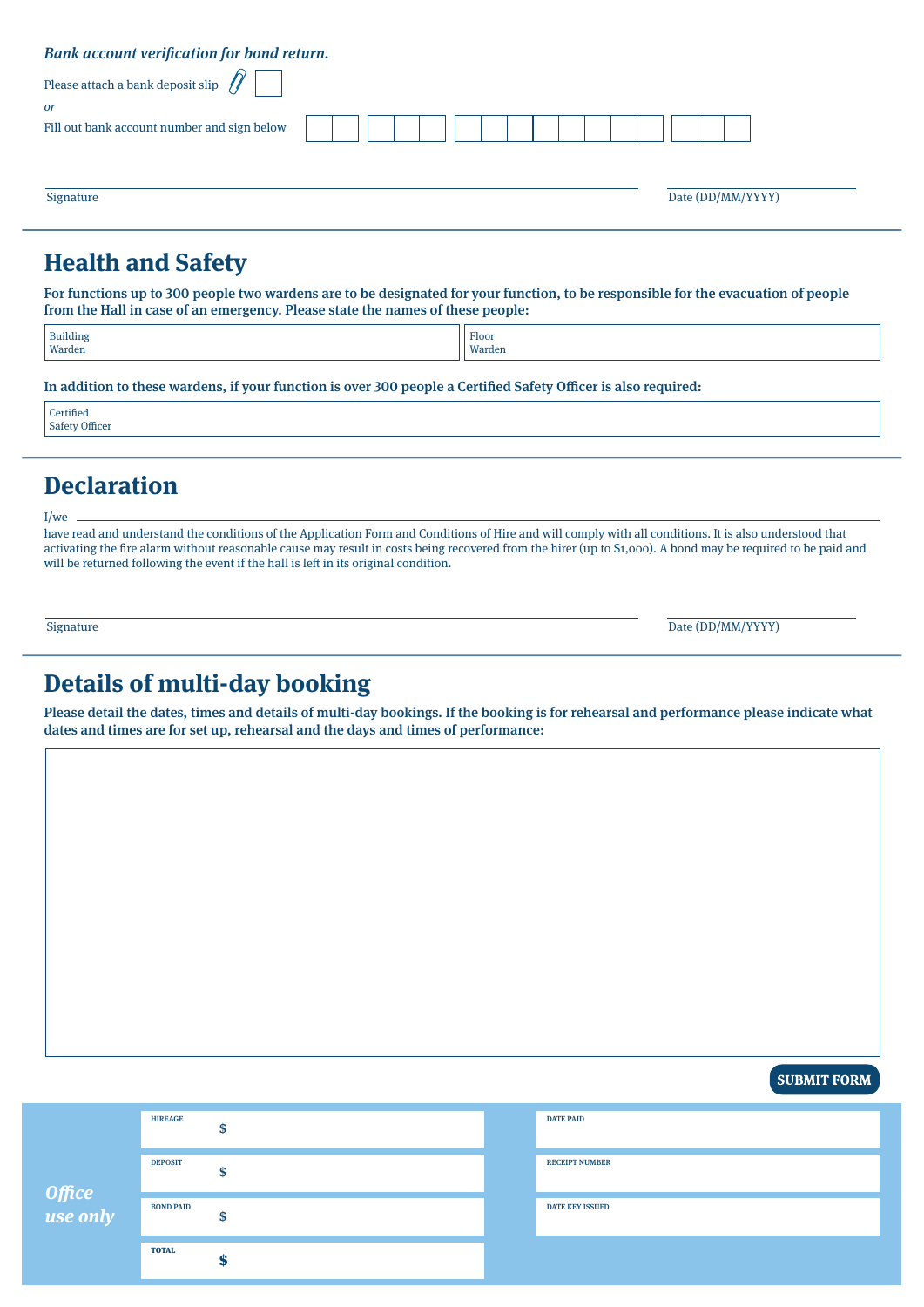| Bank account verification for bond return.      |  |  |
|-------------------------------------------------|--|--|
| Please attach a bank deposit slip $\mathscr{N}$ |  |  |
| or                                              |  |  |
| Fill out bank account number and sign below     |  |  |
|                                                 |  |  |
|                                                 |  |  |

Signature Date (DD/MM/YYYY)

#### **Health and Safety**

For functions up to 300 people two wardens are to be designated for your function, to be responsible for the evacuation of people from the Hall in case of an emergency. Please state the names of these people:

| Building | Floor  |
|----------|--------|
| Warden   | Warden |
|          |        |

In addition to these wardens, if your function is over 300 people a Certified Safety Officer is also required:

**Certified** Safety Officer

I/we

# **Declaration**

have read and understand the conditions of the Application Form and Conditions of Hire and will comply with all conditions. It is also understood that activating the fire alarm without reasonable cause may result in costs being recovered from the hirer (up to \$1,000). A bond may be required to be paid and will be returned following the event if the hall is left in its original condition.

Signature Date (DD/MM/YYYY)

#### **Details of multi-day booking**

Please detail the dates, times and details of multi-day bookings. If the booking is for rehearsal and performance please indicate what dates and times are for set up, rehearsal and the days and times of performance:

**SUBMIT FORM** 

| Office<br>use only | <b>HIREAGE</b>   |   | <b>DATE PAID</b>       |
|--------------------|------------------|---|------------------------|
|                    | <b>DEPOSIT</b>   |   | <b>RECEIPT NUMBER</b>  |
|                    | <b>BOND PAID</b> |   | <b>DATE KEY ISSUED</b> |
|                    | <b>TOTAL</b>     | m |                        |